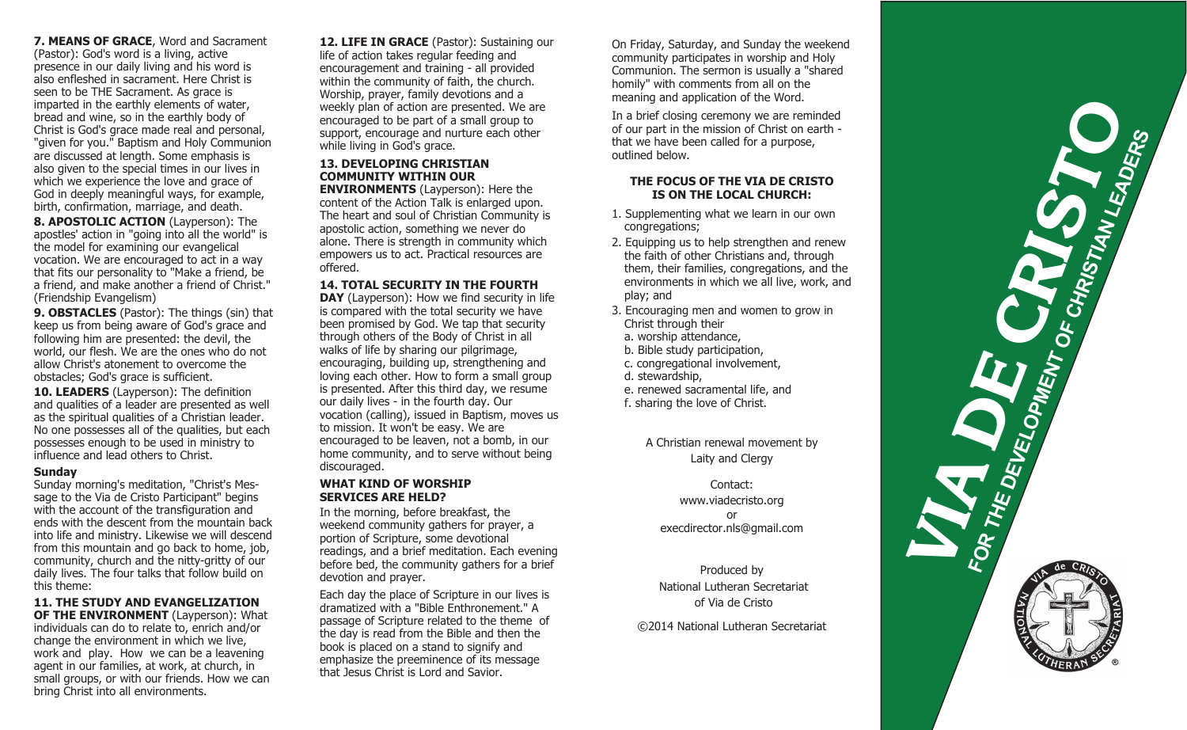**7. MEANS OF GRACE**, Word and Sacrament (Pastor): God's word is a living, active presence in our daily living and his word is also enfleshed in sacrament. Here Christ is seen to be THE Sacrament. As grace is imparted in the earthly elements of water, bread and wine, so in the earthly body of Christ is God's grace made real and personal, "given for you." Baptism and Holy Communion are discussed at length. Some emphasis is also given to the special times in our lives in which we experience the love and grace of God in deeply meaningful ways, for example, birth, confirmation, marriage, and death.

**8. APOSTOLIC ACTION** (Layperson): The apostles' action in "going into all the world" is the model for examining our evangelical vocation. We are encouraged to act in a way that fits our personality to "Make a friend, be a friend, and make another a friend of Christ." (Friendship Evangelism)

**9. OBSTACLES** (Pastor): The things (sin) that keep us from being aware of God's grace and following him are presented: the devil, the world, our flesh. We are the ones who do not allow Christ's atonement to overcome the obstacles; God's grace is sufficient.

**10. LEADERS** (Layperson): The definition and qualities of a leader are presented as well as the spiritual qualities of a Christian leader. No one possesses all of the qualities, but each possesses enough to be used in ministry to influence and lead others to Christ.

#### **Sunday**

Sunday morning's meditation, "Christ's Message to the Via de Cristo Participant" begins with the account of the transfiguration and ends with the descent from the mountain back into life and ministry. Likewise we will descend from this mountain and go back to home, job, community, church and the nitty-gritty of our daily lives. The four talks that follow build on this theme:

**11. THE STUDY AND EVANGELIZATION OF THE ENVIRONMENT** (Layperson): What

individuals can do to relate to, enrich and/or change the environment in which we live, work and play. How we can be a leavening agent in our families, at work, at church, in small groups, or with our friends. How we can bring Christ into all environments.

12. LIFE IN GRACE (Pastor): Sustaining our life of action takes regular feeding and encouragement and training - all provided within the community of faith, the church. Worship, prayer, family devotions and a weekly plan of action are presented. We are encouraged to be part of a small group to support, encourage and nurture each other while living in God's grace.

# **13. DEVELOPING CHRISTIAN COMMUNITY WITHIN OUR**

**ENVIRONMENTS** (Layperson): Here the content of the Action Talk is enlarged upon. The heart and soul of Christian Community is apostolic action, something we never do alone. There is strength in community which empowers us to act. Practical resources are offered.

### **14. TOTAL SECURITY IN THE FOURTH**

**DAY** (Layperson): How we find security in life is compared with the total security we have been promised by God. We tap that security through others of the Body of Christ in all walks of life by sharing our pilgrimage, encouraging, building up, strengthening and loving each other. How to form a small group is presented. After this third day, we resume our daily lives - in the fourth day. Our vocation (calling), issued in Baptism, moves us to mission. It won't be easy. We are encouraged to be leaven, not a bomb, in our home community, and to serve without being discouraged.

### **WHAT KIND OF WORSHIP SERVICES ARE HELD?**

In the morning, before breakfast, the weekend community gathers for prayer, a portion of Scripture, some devotional readings, and a brief meditation. Each evening before bed, the community gathers for a brief devotion and prayer.

Each day the place of Scripture in our lives is dramatized with a "Bible Enthronement." A passage of Scripture related to the theme of the day is read from the Bible and then the book is placed on a stand to signify and emphasize the preeminence of its message that Jesus Christ is Lord and Savior.

On Friday, Saturday, and Sunday the weekend community participates in worship and Holy Communion. The sermon is usually a "shared homily" with comments from all on the meaning and application of the Word.

In a brief closing ceremony we are reminded of our part in the mission of Christ on earth that we have been called for a purpose, outlined below.

### **THE FOCUS OF THE VIA DE CRISTO IS ON THE LOCAL CHURCH:**

- 1. Supplementing what we learn in our own congregations;
- 2. Equipping us to help strengthen and renew the faith of other Christians and, through them, their families, congregations, and the environments in which we all live, work, and play; and
- 3. Encouraging men and women to grow in Christ through their
- a. worship attendance,
- b. Bible study participation,
- c. congregational involvement,
- d. stewardship,
- e. renewed sacramental life, and
- f. sharing the love of Christ.

A Christian renewal movement by Laity and Clergy

### Contact: www.viadecristo.org or execdirector.nls@gmail.com

Produced by National Lutheran Secretariat of Via de Cristo

©2014 National Lutheran Secretariat